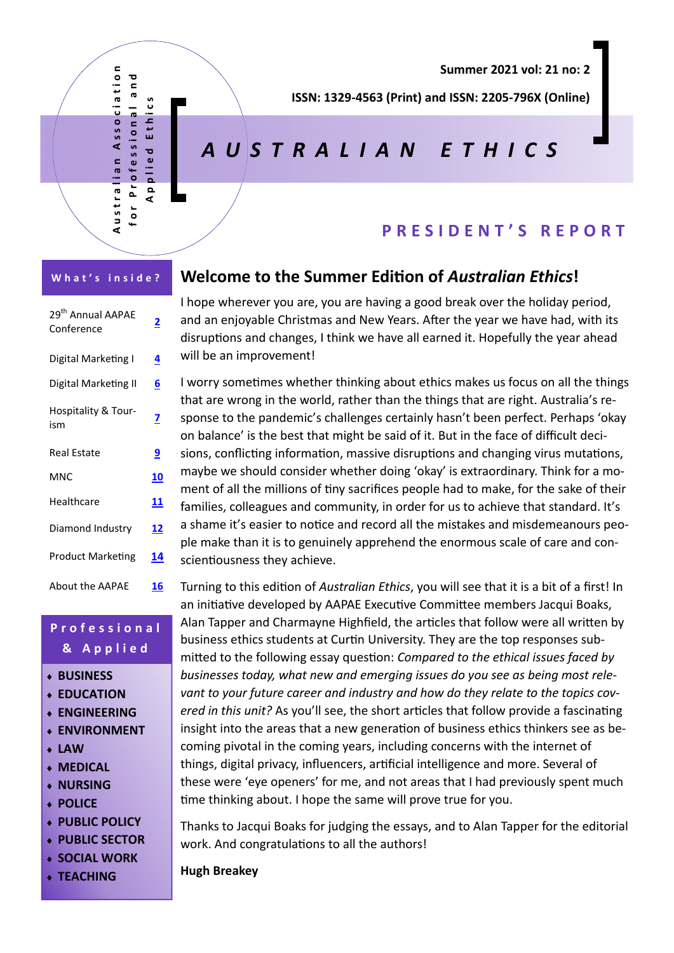

**Summer 2021 vol: 21 no: 2** 

**ISSN: 1329‐4563 (Print) and ISSN: 2205‐796X (Online)** 

# *AUSTRALIAN ETHICS*

### **PRESIDENT'S REPORT**

| 29 <sup>th</sup> Annual AAPAE<br>Conference | <u>2</u>   |
|---------------------------------------------|------------|
| Digital Marketing I                         | 4          |
| Digital Marketing II                        | 6          |
| Hospitality & Tour-<br>ism                  | <u>7</u>   |
| Real Estate                                 | <u>9</u>   |
| MNC                                         | 10         |
| Healthcare                                  | 11         |
| Diamond Industry                            | <u> 12</u> |
| <b>Product Marketing</b>                    | 14         |
| <b>About the AAPAE</b>                      | 16         |

### **Professional & Applied**

- **BUSINESS**
- **EDUCATION**
- **ENGINEERING**
- **ENVIRONMENT**
- **LAW**
- **MEDICAL**
- **NURSING**
- **POLICE**
- **PUBLIC POLICY**
- **PUBLIC SECTOR**
- **SOCIAL WORK**
- **TEACHING**

### **Welcome to the Summer EdiƟon of** *Australian Ethics***!**

I hope wherever you are, you are having a good break over the holiday period, and an enjoyable Christmas and New Years. After the year we have had, with its disruptions and changes, I think we have all earned it. Hopefully the year ahead will be an improvement!

I worry sometimes whether thinking about ethics makes us focus on all the things that are wrong in the world, rather than the things that are right. Australia's response to the pandemic's challenges certainly hasn't been perfect. Perhaps 'okay on balance' is the best that might be said of it. But in the face of difficult decisions, conflicting information, massive disruptions and changing virus mutations, maybe we should consider whether doing 'okay' is extraordinary. Think for a moment of all the millions of tiny sacrifices people had to make, for the sake of their families, colleagues and community, in order for us to achieve that standard. It's a shame it's easier to notice and record all the mistakes and misdemeanours people make than it is to genuinely apprehend the enormous scale of care and conscientiousness they achieve.

Turning to this edition of *Australian Ethics*, you will see that it is a bit of a first! In an initiative developed by AAPAE Executive Committee members Jacqui Boaks, Alan Tapper and Charmayne Highfield, the articles that follow were all written by business ethics students at Curtin University. They are the top responses submitted to the following essay question: *Compared to the ethical issues faced by businesses today, what new and emerging issues do you see as being most relevant to your future career and industry and how do they relate to the topics covered in this unit?* As you'll see, the short articles that follow provide a fascinating insight into the areas that a new generation of business ethics thinkers see as becoming pivotal in the coming years, including concerns with the internet of things, digital privacy, influencers, artificial intelligence and more. Several of these were 'eye openers' for me, and not areas that I had previously spent much time thinking about. I hope the same will prove true for you.

Thanks to Jacqui Boaks for judging the essays, and to Alan Tapper for the editorial work. And congratulations to all the authors!

**Hugh Breakey**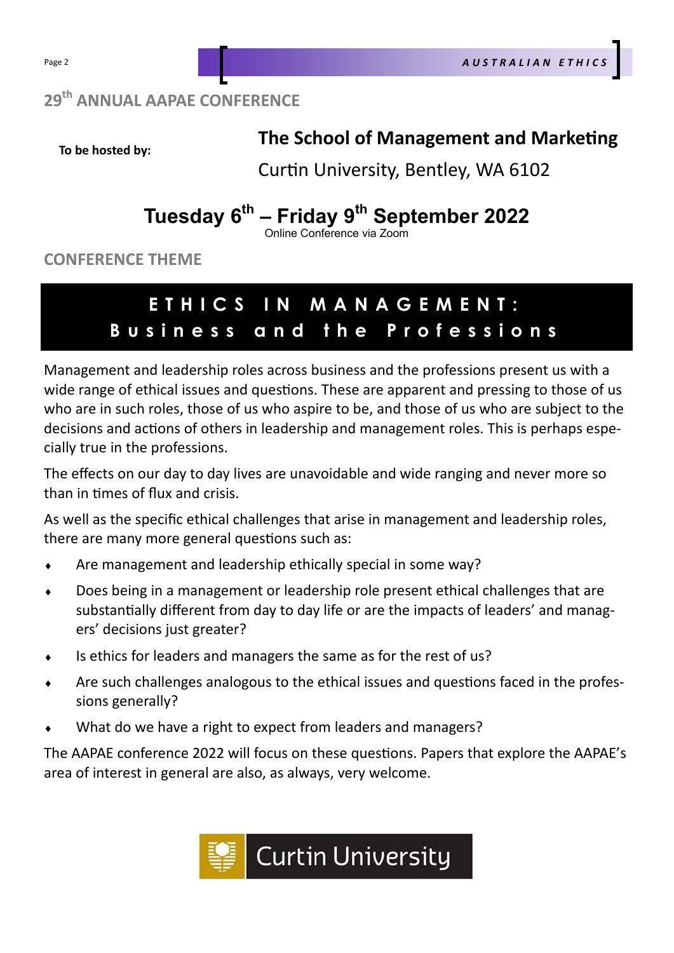## **29th ANNUAL AAPAE CONFERENCE**

**To be hosted by:** 

## **The School of Management and Marketing**

Curtin University, Bentley, WA 6102

# Tuesday 6<sup>th</sup> – Friday 9<sup>th</sup> September 2022

Online Conference via Zoom

**CONFERENCE THEME** 

# **ETHICS IN MANAGEMENT: Business and the Professions**

Management and leadership roles across business and the professions present us with a wide range of ethical issues and questions. These are apparent and pressing to those of us who are in such roles, those of us who aspire to be, and those of us who are subject to the decisions and actions of others in leadership and management roles. This is perhaps especially true in the professions.

The effects on our day to day lives are unavoidable and wide ranging and never more so than in times of flux and crisis.

As well as the specific ethical challenges that arise in management and leadership roles, there are many more general questions such as:

- Are management and leadership ethically special in some way?
- Does being in a management or leadership role present ethical challenges that are substantially different from day to day life or are the impacts of leaders' and managers' decisions just greater?
- Is ethics for leaders and managers the same as for the rest of us?
- $\bullet$  Are such challenges analogous to the ethical issues and questions faced in the professions generally?
- What do we have a right to expect from leaders and managers?

The AAPAE conference 2022 will focus on these questions. Papers that explore the AAPAE's area of interest in general are also, as always, very welcome.

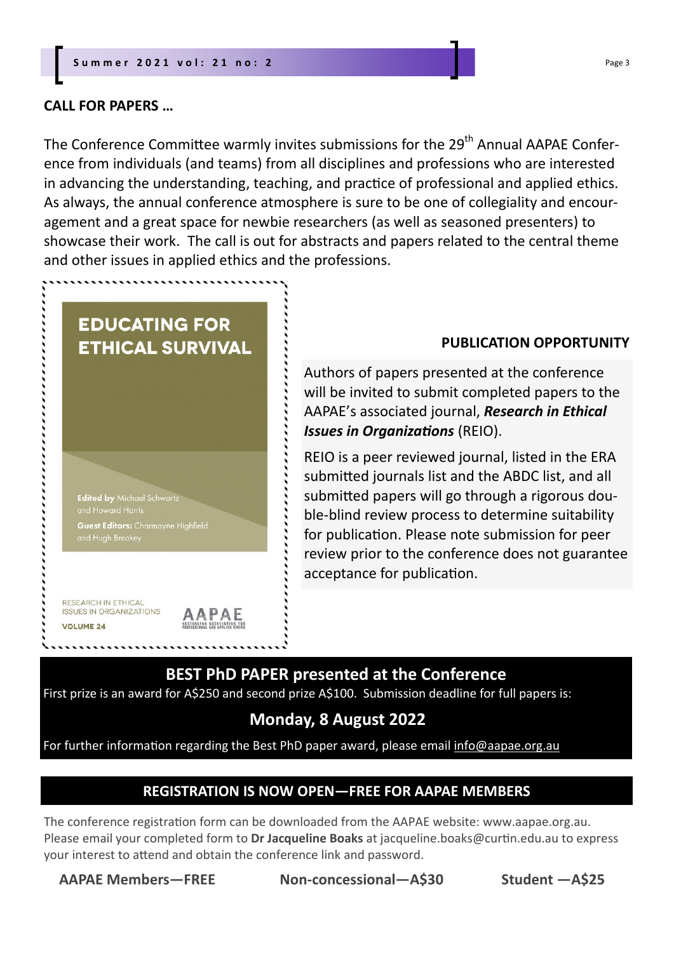**EDUCATING FOR** 

**Edited by Michael Schwartz** 

RESEARCH IN ETHICAL **ISSUES IN ORGANIZATIONS** 

. . . . . . . . . . . .

**VOLUME 24** 

Guest Editors: Charmayne Highfield

**AAPAE** 

**ETHICAL SURVIVAL** 

### **CALL FOR PAPERS …**

The Conference Committee warmly invites submissions for the 29<sup>th</sup> Annual AAPAE Conference from individuals (and teams) from all disciplines and professions who are interested in advancing the understanding, teaching, and practice of professional and applied ethics. As always, the annual conference atmosphere is sure to be one of collegiality and encouragement and a great space for newbie researchers (as well as seasoned presenters) to showcase their work. The call is out for abstracts and papers related to the central theme and other issues in applied ethics and the professions.

### **PUBLICATION OPPORTUNITY**

Authors of papers presented at the conference will be invited to submit completed papers to the AAPAE's associated journal, *Research in Ethical*  **Issues in Organizations (REIO).** 

REIO is a peer reviewed journal, listed in the ERA submitted journals list and the ABDC list, and all submitted papers will go through a rigorous double-blind review process to determine suitability for publication. Please note submission for peer review prior to the conference does not guarantee acceptance for publication.

### **BEST PhD PAPER presented at the Conference**

First prize is an award for A\$250 and second prize A\$100. Submission deadline for full papers is:

### **Monday, 8 August 2022**

For further information regarding the Best PhD paper award, please email info@aapae.org.au

### **REGISTRATION IS NOW OPEN—FREE FOR AAPAE MEMBERS**

The conference registration form can be downloaded from the AAPAE website: www.aapae.org.au. Please email your completed form to **Dr Jacqueline Boaks** at jacqueline.boaks@curtin.edu.au to express your interest to attend and obtain the conference link and password.

**AAPAE Members—FREE Non‐concessional—A\$30 Student —A\$25**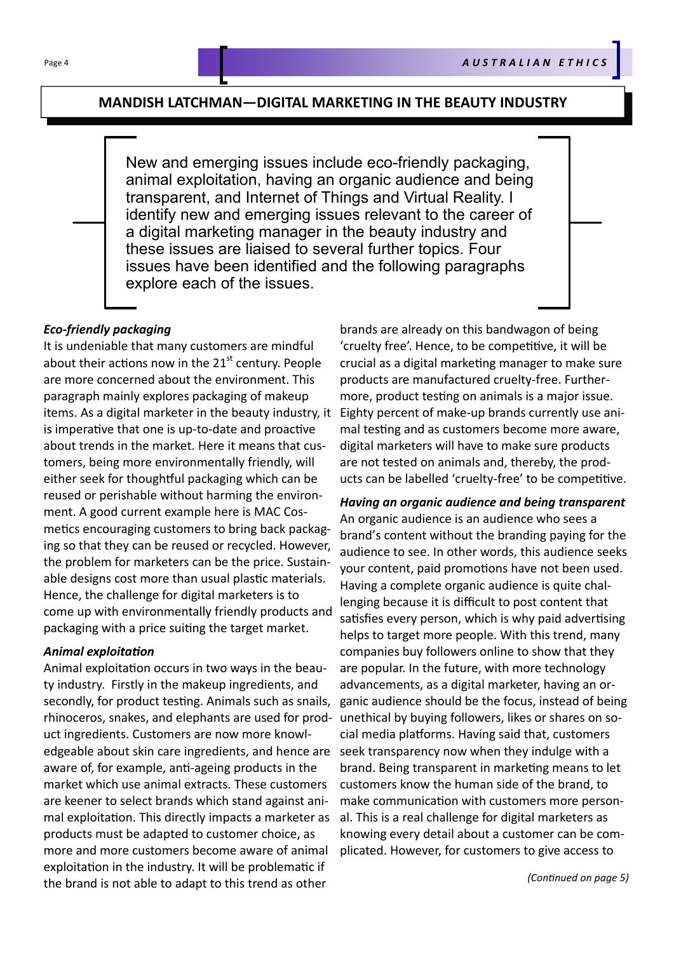### **MANDISH LATCHMAN—DIGITAL MARKETING IN THE BEAUTY INDUSTRY**

New and emerging issues include eco-friendly packaging, animal exploitation, having an organic audience and being transparent, and Internet of Things and Virtual Reality. I identify new and emerging issues relevant to the career of a digital marketing manager in the beauty industry and these issues are liaised to several further topics. Four issues have been identified and the following paragraphs explore each of the issues.

### *Eco‐friendly packaging*

It is undeniable that many customers are mindful about their actions now in the  $21<sup>st</sup>$  century. People are more concerned about the environment. This paragraph mainly explores packaging of makeup items. As a digital marketer in the beauty industry, it is imperative that one is up-to-date and proactive about trends in the market. Here it means that customers, being more environmentally friendly, will either seek for thoughtful packaging which can be reused or perishable without harming the environment. A good current example here is MAC Cosmetics encouraging customers to bring back packaging so that they can be reused or recycled. However, the problem for marketers can be the price. Sustainable designs cost more than usual plastic materials. Hence, the challenge for digital marketers is to come up with environmentally friendly products and packaging with a price suiting the target market.

### *Animal exploitaƟon*

Animal exploitation occurs in two ways in the beauty industry. Firstly in the makeup ingredients, and secondly, for product testing. Animals such as snails, rhinoceros, snakes, and elephants are used for product ingredients. Customers are now more knowledgeable about skin care ingredients, and hence are aware of, for example, anti-ageing products in the market which use animal extracts. These customers are keener to select brands which stand against animal exploitation. This directly impacts a marketer as products must be adapted to customer choice, as more and more customers become aware of animal exploitation in the industry. It will be problematic if the brand is not able to adapt to this trend as other

brands are already on this bandwagon of being 'cruelty free'. Hence, to be competitive, it will be crucial as a digital marketing manager to make sure products are manufactured cruelty-free. Furthermore, product testing on animals is a major issue. Eighty percent of make-up brands currently use animal testing and as customers become more aware, digital marketers will have to make sure products are not tested on animals and, thereby, the products can be labelled 'cruelty-free' to be competitive.

*Having an organic audience and being transparent*  An organic audience is an audience who sees a brand's content without the branding paying for the audience to see. In other words, this audience seeks your content, paid promotions have not been used. Having a complete organic audience is quite challenging because it is difficult to post content that satisfies every person, which is why paid advertising helps to target more people. With this trend, many companies buy followers online to show that they are popular. In the future, with more technology advancements, as a digital marketer, having an organic audience should be the focus, instead of being unethical by buying followers, likes or shares on social media platforms. Having said that, customers seek transparency now when they indulge with a brand. Being transparent in marketing means to let customers know the human side of the brand, to make communication with customers more personal. This is a real challenge for digital marketers as knowing every detail about a customer can be complicated. However, for customers to give access to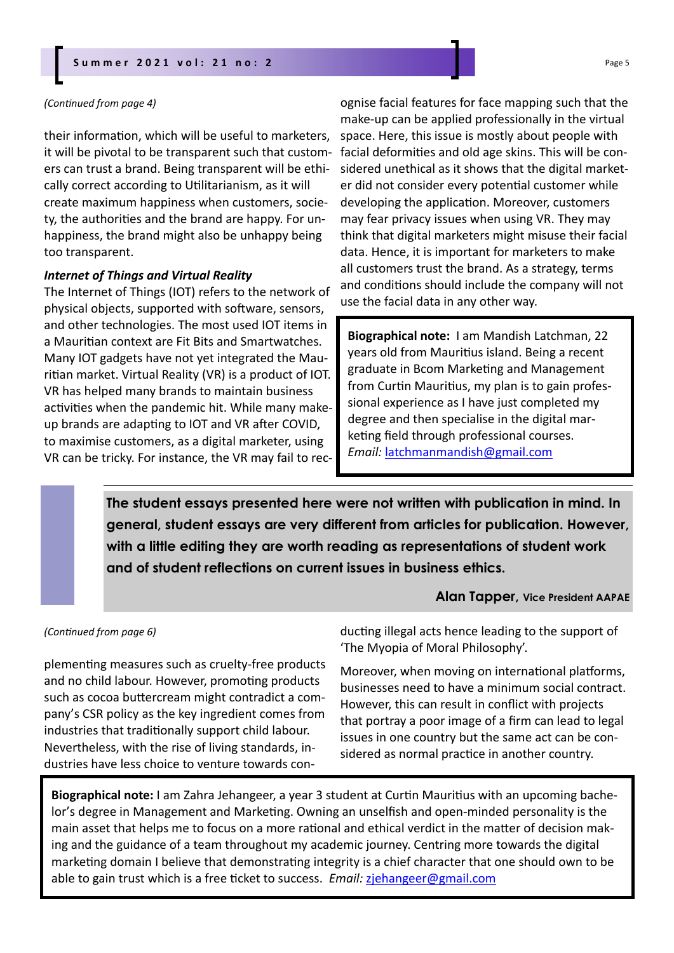### **Summer 2021 vol: 21 no: 2**

#### *(ConƟnued from page 4)*

their information, which will be useful to marketers, it will be pivotal to be transparent such that customers can trust a brand. Being transparent will be ethically correct according to Utilitarianism, as it will create maximum happiness when customers, society, the authorities and the brand are happy. For unhappiness, the brand might also be unhappy being too transparent.

#### *Internet of Things and Virtual Reality*

The Internet of Things (IOT) refers to the network of physical objects, supported with software, sensors, and other technologies. The most used IOT items in a Mauritian context are Fit Bits and Smartwatches. Many IOT gadgets have not yet integrated the Mauritian market. Virtual Reality (VR) is a product of IOT. VR has helped many brands to maintain business activities when the pandemic hit. While many makeup brands are adapting to IOT and VR after COVID, to maximise customers, as a digital marketer, using VR can be tricky. For instance, the VR may fail to rec-

ognise facial features for face mapping such that the make-up can be applied professionally in the virtual space. Here, this issue is mostly about people with facial deformities and old age skins. This will be considered unethical as it shows that the digital marketer did not consider every potential customer while developing the application. Moreover, customers may fear privacy issues when using VR. They may think that digital marketers might misuse their facial data. Hence, it is important for marketers to make all customers trust the brand. As a strategy, terms and conditions should include the company will not use the facial data in any other way.

**Biographical note:** I am Mandish Latchman, 22 years old from Mauritius island. Being a recent graduate in Bcom Marketing and Management from Curtin Mauritius, my plan is to gain professional experience as I have just completed my degree and then specialise in the digital marketing field through professional courses. *Email:* latchmanmandish@gmail.com

**The student essays presented here were not written with publication in mind. In general, student essays are very different from articles for publication. However, with a little editing they are worth reading as representations of student work and of student reflections on current issues in business ethics.** 

### **Alan Tapper, Vice President AAPAE**

#### *(ConƟnued from page 6)*

plementing measures such as cruelty-free products and no child labour. However, promoting products such as cocoa buttercream might contradict a company's CSR policy as the key ingredient comes from industries that traditionally support child labour. Nevertheless, with the rise of living standards, industries have less choice to venture towards conducting illegal acts hence leading to the support of 'The Myopia of Moral Philosophy'.

Moreover, when moving on international platforms, businesses need to have a minimum social contract. However, this can result in conflict with projects that portray a poor image of a firm can lead to legal issues in one country but the same act can be considered as normal practice in another country.

**Biographical note:** I am Zahra Jehangeer, a year 3 student at Curtin Mauritius with an upcoming bachelor's degree in Management and Marketing. Owning an unselfish and open-minded personality is the main asset that helps me to focus on a more rational and ethical verdict in the matter of decision making and the guidance of a team throughout my academic journey. Centring more towards the digital marketing domain I believe that demonstrating integrity is a chief character that one should own to be able to gain trust which is a free ticket to success. *Email: zjehangeer@gmail.com*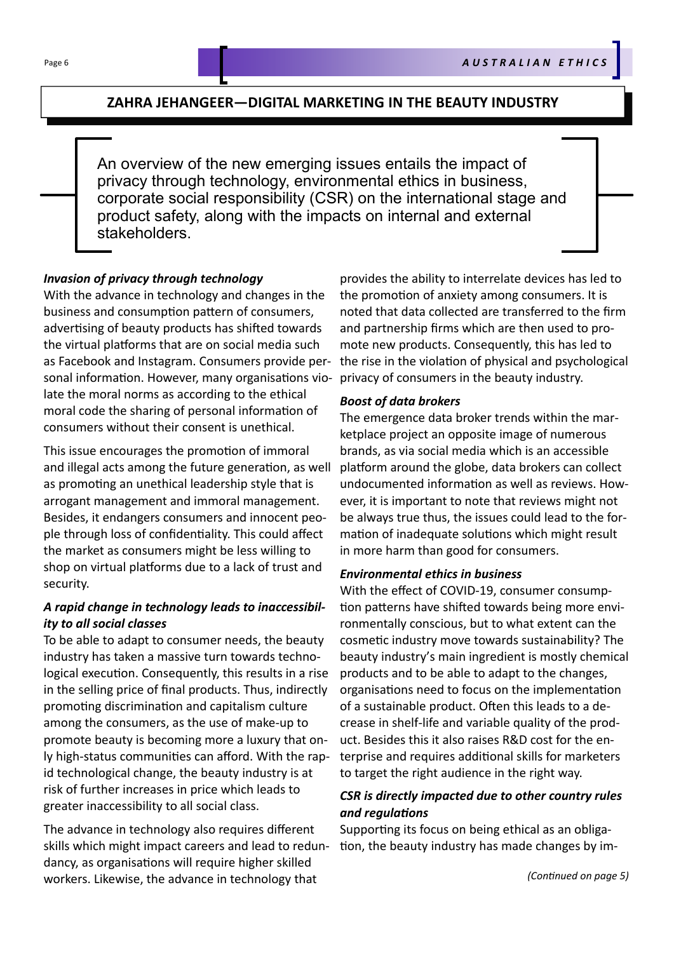### **ZAHRA JEHANGEER—DIGITAL MARKETING IN THE BEAUTY INDUSTRY**

An overview of the new emerging issues entails the impact of privacy through technology, environmental ethics in business, corporate social responsibility (CSR) on the international stage and product safety, along with the impacts on internal and external stakeholders.

### *Invasion of privacy through technology*

With the advance in technology and changes in the business and consumption pattern of consumers, advertising of beauty products has shifted towards the virtual platforms that are on social media such as Facebook and Instagram. Consumers provide personal information. However, many organisations violate the moral norms as according to the ethical moral code the sharing of personal information of consumers without their consent is unethical.

This issue encourages the promotion of immoral and illegal acts among the future generation, as well as promoting an unethical leadership style that is arrogant management and immoral management. Besides, it endangers consumers and innocent people through loss of confidentiality. This could affect the market as consumers might be less willing to shop on virtual platforms due to a lack of trust and security.

### *A rapid change in technology leads to inaccessibil‐ ity to all social classes*

To be able to adapt to consumer needs, the beauty industry has taken a massive turn towards technological execution. Consequently, this results in a rise in the selling price of final products. Thus, indirectly promoting discrimination and capitalism culture among the consumers, as the use of make-up to promote beauty is becoming more a luxury that only high-status communities can afford. With the rapid technological change, the beauty industry is at risk of further increases in price which leads to greater inaccessibility to all social class.

The advance in technology also requires different skills which might impact careers and lead to redundancy, as organisations will require higher skilled workers. Likewise, the advance in technology that

provides the ability to interrelate devices has led to the promotion of anxiety among consumers. It is noted that data collected are transferred to the firm and partnership firms which are then used to promote new products. Consequently, this has led to the rise in the violation of physical and psychological privacy of consumers in the beauty industry.

### *Boost of data brokers*

The emergence data broker trends within the marketplace project an opposite image of numerous brands, as via social media which is an accessible platform around the globe, data brokers can collect undocumented information as well as reviews. However, it is important to note that reviews might not be always true thus, the issues could lead to the formation of inadequate solutions which might result in more harm than good for consumers.

### *Environmental ethics in business*

With the effect of COVID-19, consumer consumption patterns have shifted towards being more environmentally conscious, but to what extent can the cosmetic industry move towards sustainability? The beauty industry's main ingredient is mostly chemical products and to be able to adapt to the changes, organisations need to focus on the implementation of a sustainable product. Often this leads to a decrease in shelf-life and variable quality of the product. Besides this it also raises R&D cost for the enterprise and requires additional skills for marketers to target the right audience in the right way.

### *CSR is directly impacted due to other country rules and regulaƟons*

Supporting its focus on being ethical as an obligation, the beauty industry has made changes by im-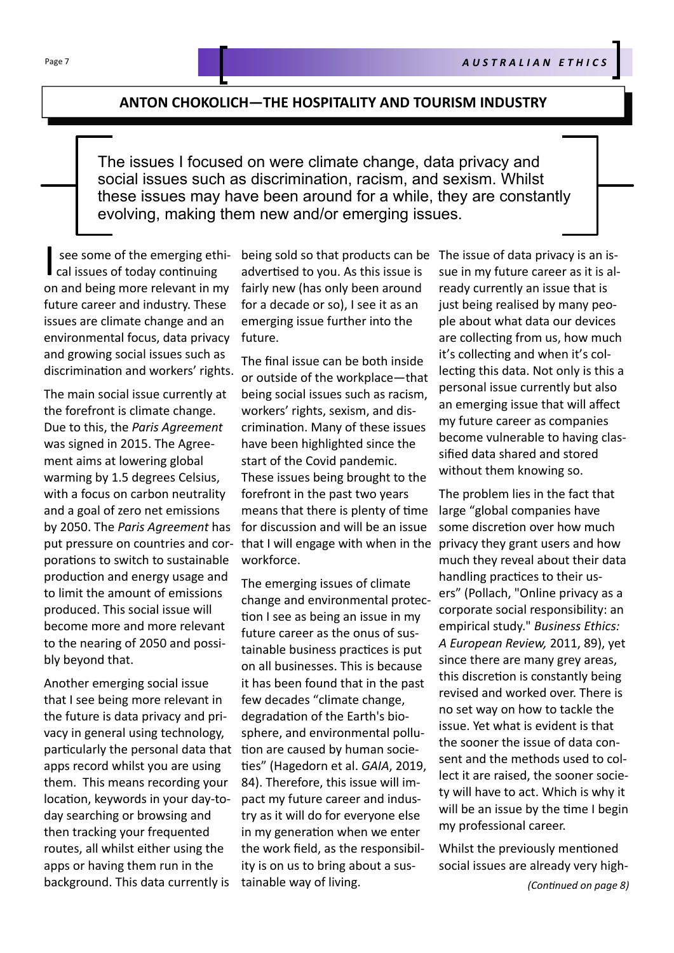### **ANTON CHOKOLICH—THE HOSPITALITY AND TOURISM INDUSTRY**

The issues I focused on were climate change, data privacy and social issues such as discrimination, racism, and sexism. Whilst these issues may have been around for a while, they are constantly evolving, making them new and/or emerging issues.

See some of the emerging et<br>
cal issues of today continuing<br>
an and being mane relevant in see some of the emerging ethion and being more relevant in my future career and industry. These issues are climate change and an environmental focus, data privacy and growing social issues such as discrimination and workers' rights.

The main social issue currently at the forefront is climate change. Due to this, the *Paris Agreement*  was signed in 2015. The Agreement aims at lowering global warming by 1.5 degrees Celsius, with a focus on carbon neutrality and a goal of zero net emissions by 2050. The *Paris Agreement* has put pressure on countries and corporations to switch to sustainable production and energy usage and to limit the amount of emissions produced. This social issue will become more and more relevant to the nearing of 2050 and possibly beyond that.

Another emerging social issue that I see being more relevant in the future is data privacy and privacy in general using technology, particularly the personal data that apps record whilst you are using them. This means recording your location, keywords in your day-today searching or browsing and then tracking your frequented routes, all whilst either using the apps or having them run in the background. This data currently is

advertised to you. As this issue is fairly new (has only been around for a decade or so), I see it as an emerging issue further into the future.

The final issue can be both inside or outside of the workplace—that being social issues such as racism, workers' rights, sexism, and discrimination. Many of these issues have been highlighted since the start of the Covid pandemic. These issues being brought to the forefront in the past two years means that there is plenty of time for discussion and will be an issue that I will engage with when in the workforce.

The emerging issues of climate change and environmental protection I see as being an issue in my future career as the onus of sustainable business practices is put on all businesses. This is because it has been found that in the past few decades "climate change, degradaƟon of the Earth's biosphere, and environmental pollution are caused by human socie-Ɵes" (Hagedorn et al. *GAIA*, 2019, 84). Therefore, this issue will impact my future career and industry as it will do for everyone else in my generation when we enter the work field, as the responsibility is on us to bring about a sustainable way of living.

being sold so that products can be The issue of data privacy is an issue in my future career as it is already currently an issue that is just being realised by many people about what data our devices are collecting from us, how much it's collecting and when it's collecting this data. Not only is this a personal issue currently but also an emerging issue that will affect my future career as companies become vulnerable to having classified data shared and stored without them knowing so.

> The problem lies in the fact that large "global companies have some discretion over how much privacy they grant users and how much they reveal about their data handling practices to their users" (Pollach, "Online privacy as a corporate social responsibility: an empirical study." *Business Ethics: A European Review,* 2011, 89), yet since there are many grey areas, this discretion is constantly being revised and worked over. There is no set way on how to tackle the issue. Yet what is evident is that the sooner the issue of data consent and the methods used to collect it are raised, the sooner society will have to act. Which is why it will be an issue by the time I begin my professional career.

> Whilst the previously mentioned social issues are already very high-

> > *(ConƟnued on page 8)*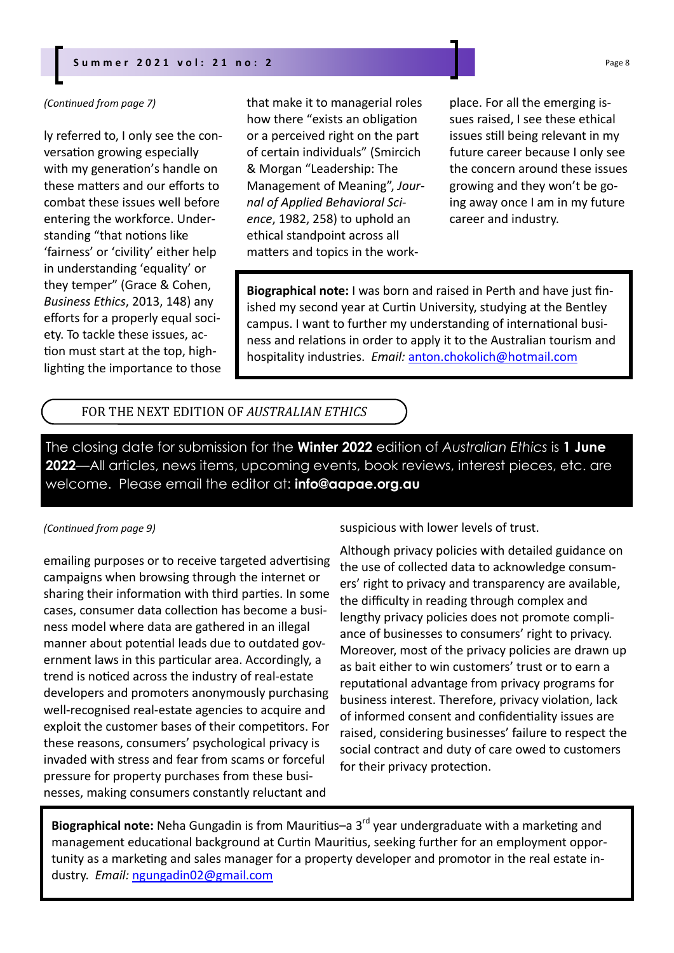### **Summer 2021 vol: 21 no: 2** Page 8

#### *(ConƟnued from page 7)*

ly referred to, I only see the conversation growing especially with my generation's handle on these matters and our efforts to combat these issues well before entering the workforce. Understanding "that notions like 'fairness' or 'civility' either help in understanding 'equality' or they temper" (Grace & Cohen, *Business Ethics*, 2013, 148) any efforts for a properly equal society. To tackle these issues, action must start at the top, highlighting the importance to those that make it to managerial roles how there "exists an obligation or a perceived right on the part of certain individuals" (Smircich & Morgan "Leadership: The Management of Meaning", *Journal of Applied Behavioral Science*, 1982, 258) to uphold an ethical standpoint across all matters and topics in the workplace. For all the emerging issues raised, I see these ethical issues still being relevant in my future career because I only see the concern around these issues growing and they won't be going away once I am in my future career and industry.

**Biographical note:** I was born and raised in Perth and have just finished my second year at Curtin University, studying at the Bentley campus. I want to further my understanding of international business and relations in order to apply it to the Australian tourism and hospitality industries. *Email:* anton.chokolich@hotmail.com

### FOR THE NEXT EDITION OF *AUSTRALIAN ETHICS*

The closing date for submission for the **Winter 2022** edition of *Australian Ethics* is **1 June 2022**—All articles, news items, upcoming events, book reviews, interest pieces, etc. are welcome. Please email the editor at: **info@aapae.org.au**

#### *(ConƟnued from page 9)*

emailing purposes or to receive targeted advertising campaigns when browsing through the internet or sharing their information with third parties. In some cases, consumer data collection has become a business model where data are gathered in an illegal manner about potential leads due to outdated government laws in this particular area. Accordingly, a trend is noticed across the industry of real-estate developers and promoters anonymously purchasing well-recognised real-estate agencies to acquire and exploit the customer bases of their competitors. For these reasons, consumers' psychological privacy is invaded with stress and fear from scams or forceful pressure for property purchases from these businesses, making consumers constantly reluctant and

suspicious with lower levels of trust.

Although privacy policies with detailed guidance on the use of collected data to acknowledge consumers' right to privacy and transparency are available, the difficulty in reading through complex and lengthy privacy policies does not promote compliance of businesses to consumers' right to privacy. Moreover, most of the privacy policies are drawn up as bait either to win customers' trust or to earn a reputational advantage from privacy programs for business interest. Therefore, privacy violation, lack of informed consent and confidentiality issues are raised, considering businesses' failure to respect the social contract and duty of care owed to customers for their privacy protection.

Biographical note: Neha Gungadin is from Mauritius–a 3<sup>rd</sup> year undergraduate with a marketing and management educational background at Curtin Mauritius, seeking further for an employment opportunity as a marketing and sales manager for a property developer and promotor in the real estate industry. *Email:* ngungadin02@gmail.com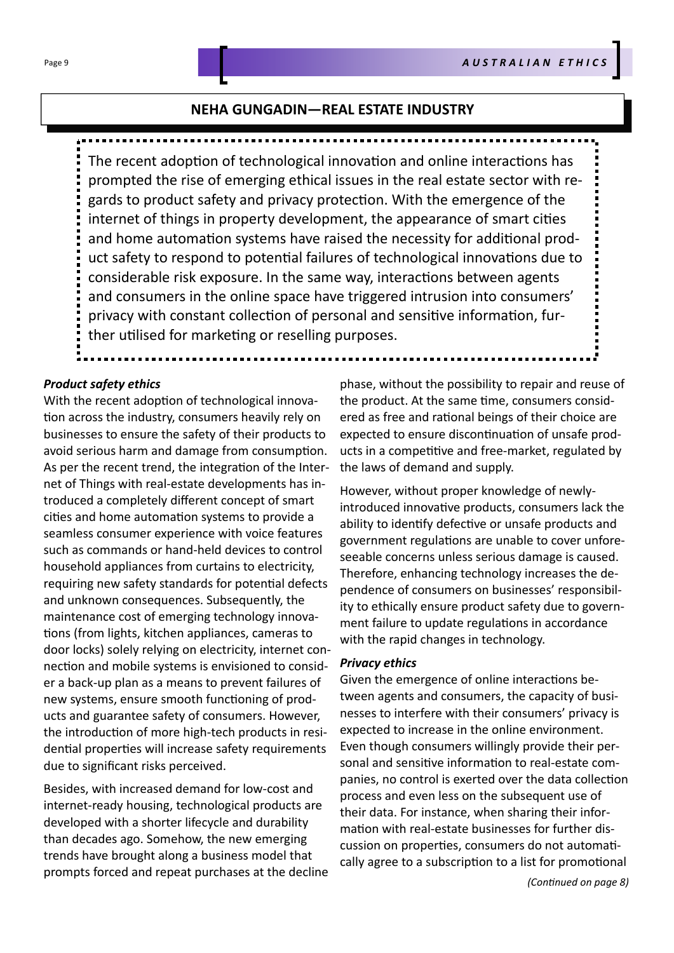### **NEHA GUNGADIN—REAL ESTATE INDUSTRY**

The recent adoption of technological innovation and online interactions has prompted the rise of emerging ethical issues in the real estate sector with regards to product safety and privacy protection. With the emergence of the internet of things in property development, the appearance of smart cities and home automation systems have raised the necessity for additional product safety to respond to potential failures of technological innovations due to considerable risk exposure. In the same way, interactions between agents and consumers in the online space have triggered intrusion into consumers' privacy with constant collection of personal and sensitive information, further utilised for marketing or reselling purposes.

#### *Product safety ethics*

With the recent adoption of technological innovation across the industry, consumers heavily rely on businesses to ensure the safety of their products to avoid serious harm and damage from consumption. As per the recent trend, the integration of the Internet of Things with real-estate developments has introduced a completely different concept of smart cities and home automation systems to provide a seamless consumer experience with voice features such as commands or hand-held devices to control household appliances from curtains to electricity, requiring new safety standards for potential defects and unknown consequences. Subsequently, the maintenance cost of emerging technology innovations (from lights, kitchen appliances, cameras to door locks) solely relying on electricity, internet connection and mobile systems is envisioned to consider a back-up plan as a means to prevent failures of new systems, ensure smooth functioning of products and guarantee safety of consumers. However, the introduction of more high-tech products in residential properties will increase safety requirements due to significant risks perceived.

Besides, with increased demand for low-cost and internet-ready housing, technological products are developed with a shorter lifecycle and durability than decades ago. Somehow, the new emerging trends have brought along a business model that prompts forced and repeat purchases at the decline

phase, without the possibility to repair and reuse of the product. At the same time, consumers considered as free and rational beings of their choice are expected to ensure discontinuation of unsafe products in a competitive and free-market, regulated by the laws of demand and supply.

However, without proper knowledge of newlyintroduced innovative products, consumers lack the ability to identify defective or unsafe products and government regulations are unable to cover unforeseeable concerns unless serious damage is caused. Therefore, enhancing technology increases the dependence of consumers on businesses' responsibility to ethically ensure product safety due to government failure to update regulations in accordance with the rapid changes in technology.

### *Privacy ethics*

Given the emergence of online interactions between agents and consumers, the capacity of businesses to interfere with their consumers' privacy is expected to increase in the online environment. Even though consumers willingly provide their personal and sensitive information to real-estate companies, no control is exerted over the data collection process and even less on the subsequent use of their data. For instance, when sharing their information with real-estate businesses for further discussion on properties, consumers do not automatically agree to a subscription to a list for promotional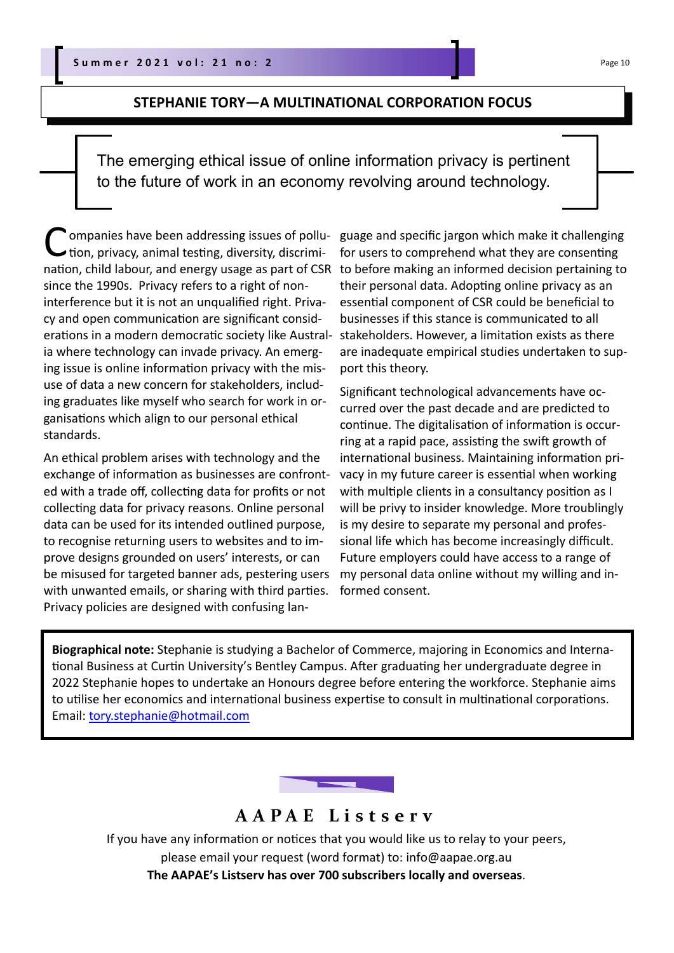### **STEPHANIE TORY—A MULTINATIONAL CORPORATION FOCUS**

The emerging ethical issue of online information privacy is pertinent to the future of work in an economy revolving around technology.

Companies have been addressing issues of pollu-<br>tion, privacy, animal testing, diversity, discrimination, child labour, and energy usage as part of CSR since the 1990s. Privacy refers to a right of noninterference but it is not an unqualified right. Privacy and open communication are significant considerations in a modern democratic society like Australia where technology can invade privacy. An emerging issue is online information privacy with the misuse of data a new concern for stakeholders, including graduates like myself who search for work in organisations which align to our personal ethical standards.

An ethical problem arises with technology and the exchange of information as businesses are confronted with a trade off, collecting data for profits or not collecting data for privacy reasons. Online personal data can be used for its intended outlined purpose, to recognise returning users to websites and to improve designs grounded on users' interests, or can be misused for targeted banner ads, pestering users with unwanted emails, or sharing with third parties. Privacy policies are designed with confusing lan-

guage and specific jargon which make it challenging for users to comprehend what they are consenting to before making an informed decision pertaining to their personal data. Adopting online privacy as an essential component of CSR could be beneficial to businesses if this stance is communicated to all stakeholders. However, a limitation exists as there are inadequate empirical studies undertaken to support this theory.

Significant technological advancements have occurred over the past decade and are predicted to continue. The digitalisation of information is occurring at a rapid pace, assisting the swift growth of international business. Maintaining information privacy in my future career is essential when working with multiple clients in a consultancy position as I will be privy to insider knowledge. More troublingly is my desire to separate my personal and professional life which has become increasingly difficult. Future employers could have access to a range of my personal data online without my willing and informed consent.

**Biographical note:** Stephanie is studying a Bachelor of Commerce, majoring in Economics and International Business at Curtin University's Bentley Campus. After graduating her undergraduate degree in 2022 Stephanie hopes to undertake an Honours degree before entering the workforce. Stephanie aims to utilise her economics and international business expertise to consult in multinational corporations. Email: tory.stephanie@hotmail.com



### **AAPAE Listserv**

If you have any information or notices that you would like us to relay to your peers, please email your request (word format) to: info@aapae.org.au **The AAPAE's Listserv has over 700 subscribers locally and overseas**.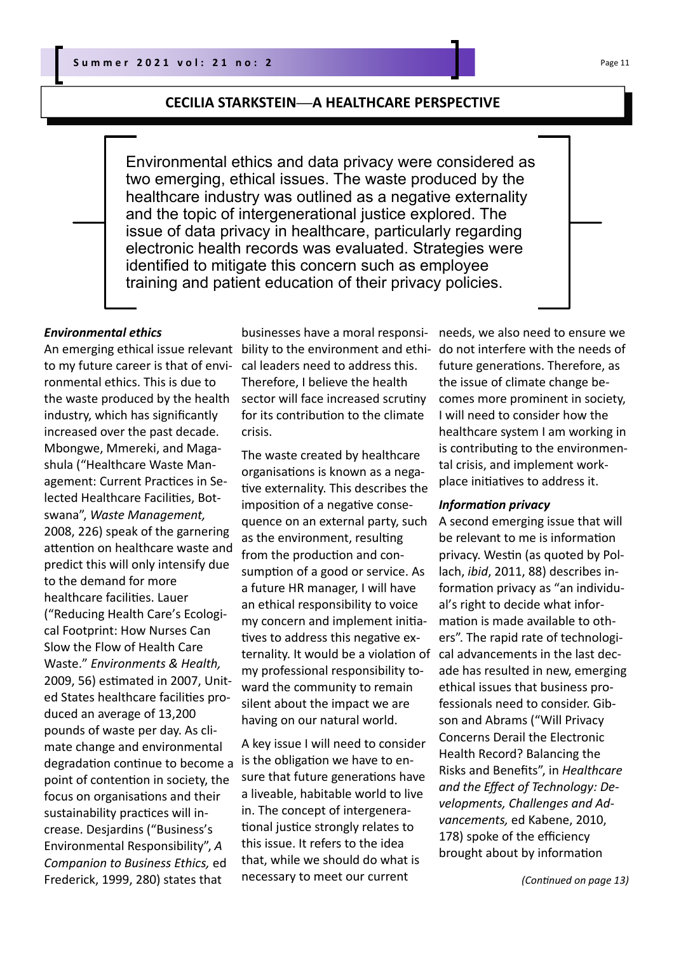### **CECILIA STARKSTEIN—A HEALTHCARE PERSPECTIVE**

Environmental ethics and data privacy were considered as two emerging, ethical issues. The waste produced by the healthcare industry was outlined as a negative externality and the topic of intergenerational justice explored. The issue of data privacy in healthcare, particularly regarding electronic health records was evaluated. Strategies were identified to mitigate this concern such as employee training and patient education of their privacy policies.

### *Environmental ethics*

An emerging ethical issue relevant to my future career is that of environmental ethics. This is due to the waste produced by the health industry, which has significantly increased over the past decade. Mbongwe, Mmereki, and Magashula ("Healthcare Waste Management: Current Practices in Selected Healthcare Facilities, Botswana", *Waste Management,*  2008, 226) speak of the garnering attention on healthcare waste and predict this will only intensify due to the demand for more healthcare facilities. Lauer ("Reducing Health Care's Ecological Footprint: How Nurses Can Slow the Flow of Health Care Waste." *Environments & Health,* 2009, 56) estimated in 2007, United States healthcare facilities produced an average of 13,200 pounds of waste per day. As climate change and environmental degradation continue to become a point of contention in society, the focus on organisations and their sustainability practices will increase. Desjardins ("Business's Environmental Responsibility", *A Companion to Business Ethics,* ed Frederick, 1999, 280) states that

businesses have a moral responsibility to the environment and ethical leaders need to address this. Therefore, I believe the health sector will face increased scrutiny for its contribution to the climate crisis.

The waste created by healthcare organisations is known as a negative externality. This describes the imposition of a negative consequence on an external party, such as the environment, resulting from the production and consumption of a good or service. As a future HR manager, I will have an ethical responsibility to voice my concern and implement initiatives to address this negative externality. It would be a violation of my professional responsibility toward the community to remain silent about the impact we are having on our natural world.

A key issue I will need to consider is the obligation we have to ensure that future generations have a liveable, habitable world to live in. The concept of intergenerational justice strongly relates to this issue. It refers to the idea that, while we should do what is necessary to meet our current

needs, we also need to ensure we do not interfere with the needs of future generations. Therefore, as the issue of climate change becomes more prominent in society, I will need to consider how the healthcare system I am working in is contributing to the environmental crisis, and implement workplace initiatives to address it.

### **Information privacy**

A second emerging issue that will be relevant to me is information privacy. Westin (as quoted by Pollach, *ibid*, 2011, 88) describes information privacy as "an individual's right to decide what information is made available to others". The rapid rate of technological advancements in the last decade has resulted in new, emerging ethical issues that business professionals need to consider. Gibson and Abrams ("Will Privacy Concerns Derail the Electronic Health Record? Balancing the Risks and Benefits", in *Healthcare and the Effect of Technology: Developments, Challenges and Advancements,* ed Kabene, 2010, 178) spoke of the efficiency brought about by information

*(ConƟnued on page 13)*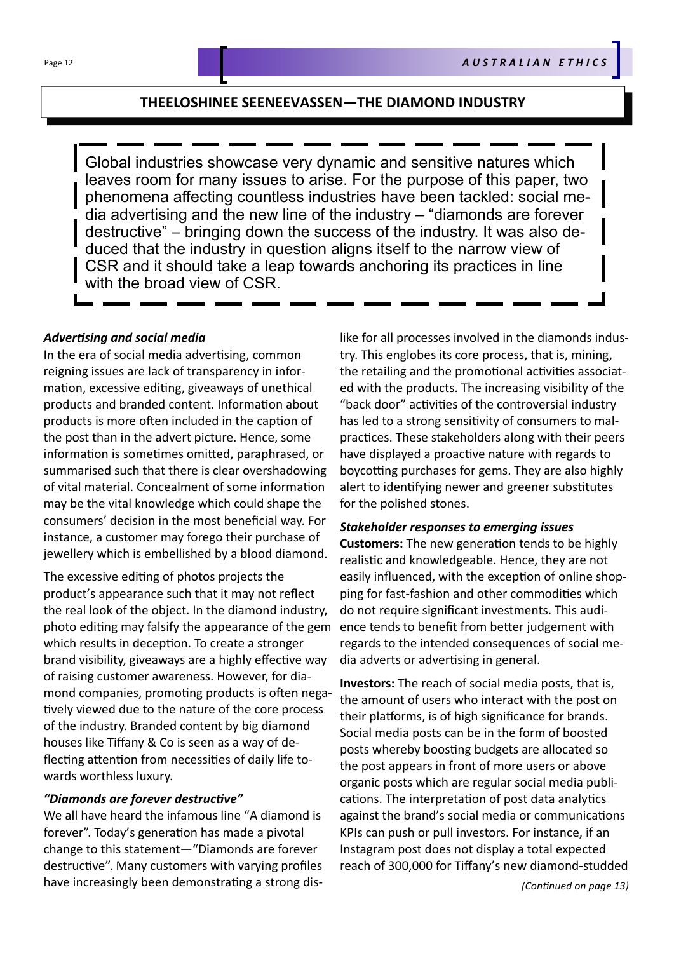### **THEELOSHINEE SEENEEVASSEN—THE DIAMOND INDUSTRY**

Global industries showcase very dynamic and sensitive natures which leaves room for many issues to arise. For the purpose of this paper, two phenomena affecting countless industries have been tackled: social media advertising and the new line of the industry – "diamonds are forever destructive" – bringing down the success of the industry. It was also deduced that the industry in question aligns itself to the narrow view of CSR and it should take a leap towards anchoring its practices in line with the broad view of CSR.

### *AdverƟsing and social media*

In the era of social media advertising, common reigning issues are lack of transparency in information, excessive editing, giveaways of unethical products and branded content. Information about products is more often included in the caption of the post than in the advert picture. Hence, some information is sometimes omitted, paraphrased, or summarised such that there is clear overshadowing of vital material. Concealment of some information may be the vital knowledge which could shape the consumers' decision in the most beneficial way. For instance, a customer may forego their purchase of jewellery which is embellished by a blood diamond.

The excessive editing of photos projects the product's appearance such that it may not reflect the real look of the object. In the diamond industry, photo editing may falsify the appearance of the gem which results in deception. To create a stronger brand visibility, giveaways are a highly effective way of raising customer awareness. However, for diamond companies, promoting products is often negatively viewed due to the nature of the core process of the industry. Branded content by big diamond houses like Tiffany & Co is seen as a way of deflecting attention from necessities of daily life towards worthless luxury.

### *"Diamonds are forever destrucƟve"*

We all have heard the infamous line "A diamond is forever". Today's generation has made a pivotal change to this statement—"Diamonds are forever destructive". Many customers with varying profiles have increasingly been demonstrating a strong dislike for all processes involved in the diamonds industry. This englobes its core process, that is, mining, the retailing and the promotional activities associated with the products. The increasing visibility of the "back door" activities of the controversial industry has led to a strong sensitivity of consumers to malpractices. These stakeholders along with their peers have displayed a proactive nature with regards to boycotting purchases for gems. They are also highly alert to identifying newer and greener substitutes for the polished stones.

### *Stakeholder responses to emerging issues*

**Customers:** The new generation tends to be highly realistic and knowledgeable. Hence, they are not easily influenced, with the exception of online shopping for fast-fashion and other commodities which do not require significant investments. This audience tends to benefit from better judgement with regards to the intended consequences of social media adverts or advertising in general.

**Investors:** The reach of social media posts, that is, the amount of users who interact with the post on their platforms, is of high significance for brands. Social media posts can be in the form of boosted posts whereby boosting budgets are allocated so the post appears in front of more users or above organic posts which are regular social media publications. The interpretation of post data analytics against the brand's social media or communications KPIs can push or pull investors. For instance, if an Instagram post does not display a total expected reach of 300,000 for Tiffany's new diamond-studded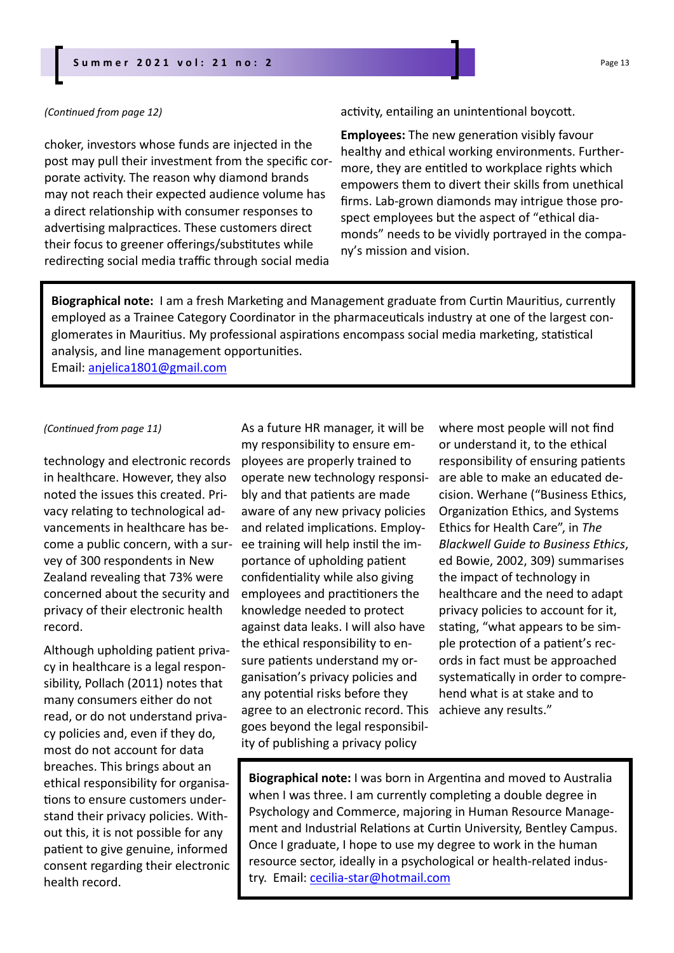### *(ConƟnued from page 12)*

choker, investors whose funds are injected in the post may pull their investment from the specific corporate activity. The reason why diamond brands may not reach their expected audience volume has a direct relationship with consumer responses to advertising malpractices. These customers direct their focus to greener offerings/substitutes while redirecting social media traffic through social media

### activity, entailing an unintentional boycott.

**Employees:** The new generation visibly favour healthy and ethical working environments. Furthermore, they are entitled to workplace rights which empowers them to divert their skills from unethical firms. Lab-grown diamonds may intrigue those prospect employees but the aspect of "ethical diamonds" needs to be vividly portrayed in the company's mission and vision.

Biographical note: I am a fresh Marketing and Management graduate from Curtin Mauritius, currently employed as a Trainee Category Coordinator in the pharmaceuticals industry at one of the largest conglomerates in Mauritius. My professional aspirations encompass social media marketing, statistical analysis, and line management opportunities.

Email: anjelica1801@gmail.com

#### *(ConƟnued from page 11)*

technology and electronic records in healthcare. However, they also noted the issues this created. Privacy relating to technological advancements in healthcare has become a public concern, with a survey of 300 respondents in New Zealand revealing that 73% were concerned about the security and privacy of their electronic health record.

Although upholding patient privacy in healthcare is a legal responsibility, Pollach (2011) notes that many consumers either do not read, or do not understand privacy policies and, even if they do, most do not account for data breaches. This brings about an ethical responsibility for organisations to ensure customers understand their privacy policies. Without this, it is not possible for any patient to give genuine, informed consent regarding their electronic health record.

As a future HR manager, it will be my responsibility to ensure employees are properly trained to operate new technology responsibly and that patients are made aware of any new privacy policies and related implications. Employee training will help instil the importance of upholding patient confidentiality while also giving employees and practitioners the knowledge needed to protect against data leaks. I will also have the ethical responsibility to ensure patients understand my organisaƟon's privacy policies and any potential risks before they agree to an electronic record. This goes beyond the legal responsibility of publishing a privacy policy

where most people will not find or understand it, to the ethical responsibility of ensuring patients are able to make an educated decision. Werhane ("Business Ethics, Organization Ethics, and Systems Ethics for Health Care", in *The Blackwell Guide to Business Ethics*, ed Bowie, 2002, 309) summarises the impact of technology in healthcare and the need to adapt privacy policies to account for it, stating, "what appears to be simple protection of a patient's records in fact must be approached systematically in order to comprehend what is at stake and to achieve any results."

**Biographical note:** I was born in Argentina and moved to Australia when I was three. I am currently completing a double degree in Psychology and Commerce, majoring in Human Resource Management and Industrial Relations at Curtin University, Bentley Campus. Once I graduate, I hope to use my degree to work in the human resource sector, ideally in a psychological or health-related industry. Email: cecilia-star@hotmail.com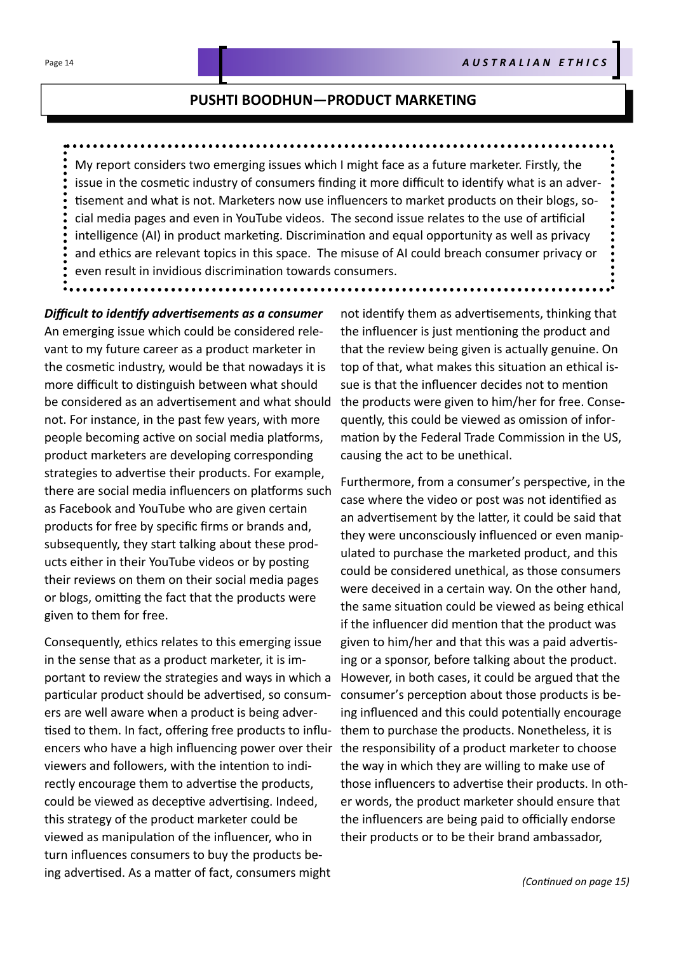### **PUSHTI BOODHUN—PRODUCT MARKETING**

My report considers two emerging issues which I might face as a future marketer. Firstly, the issue in the cosmetic industry of consumers finding it more difficult to identify what is an advertisement and what is not. Marketers now use influencers to market products on their blogs, social media pages and even in YouTube videos. The second issue relates to the use of artificial intelligence (AI) in product marketing. Discrimination and equal opportunity as well as privacy and ethics are relevant topics in this space. The misuse of AI could breach consumer privacy or even result in invidious discrimination towards consumers.

*Difficult to idenƟfy adverƟsements as a consumer* An emerging issue which could be considered relevant to my future career as a product marketer in the cosmetic industry, would be that nowadays it is more difficult to distinguish between what should be considered as an advertisement and what should not. For instance, in the past few years, with more people becoming active on social media platforms, product marketers are developing corresponding strategies to advertise their products. For example, there are social media influencers on platforms such as Facebook and YouTube who are given certain products for free by specific firms or brands and, subsequently, they start talking about these products either in their YouTube videos or by posting their reviews on them on their social media pages or blogs, omitting the fact that the products were given to them for free.

Consequently, ethics relates to this emerging issue in the sense that as a product marketer, it is important to review the strategies and ways in which a particular product should be advertised, so consumers are well aware when a product is being advertised to them. In fact, offering free products to influencers who have a high influencing power over their viewers and followers, with the intention to indirectly encourage them to advertise the products, could be viewed as deceptive advertising. Indeed, this strategy of the product marketer could be viewed as manipulation of the influencer, who in turn influences consumers to buy the products being advertised. As a matter of fact, consumers might

not identify them as advertisements, thinking that the influencer is just mentioning the product and that the review being given is actually genuine. On top of that, what makes this situation an ethical issue is that the influencer decides not to mention the products were given to him/her for free. Consequently, this could be viewed as omission of information by the Federal Trade Commission in the US, causing the act to be unethical.

Furthermore, from a consumer's perspective, in the case where the video or post was not identified as an advertisement by the latter, it could be said that they were unconsciously influenced or even manipulated to purchase the marketed product, and this could be considered unethical, as those consumers were deceived in a certain way. On the other hand, the same situation could be viewed as being ethical if the influencer did mention that the product was given to him/her and that this was a paid advertising or a sponsor, before talking about the product. However, in both cases, it could be argued that the consumer's perception about those products is being influenced and this could potentially encourage them to purchase the products. Nonetheless, it is the responsibility of a product marketer to choose the way in which they are willing to make use of those influencers to advertise their products. In other words, the product marketer should ensure that the influencers are being paid to officially endorse their products or to be their brand ambassador,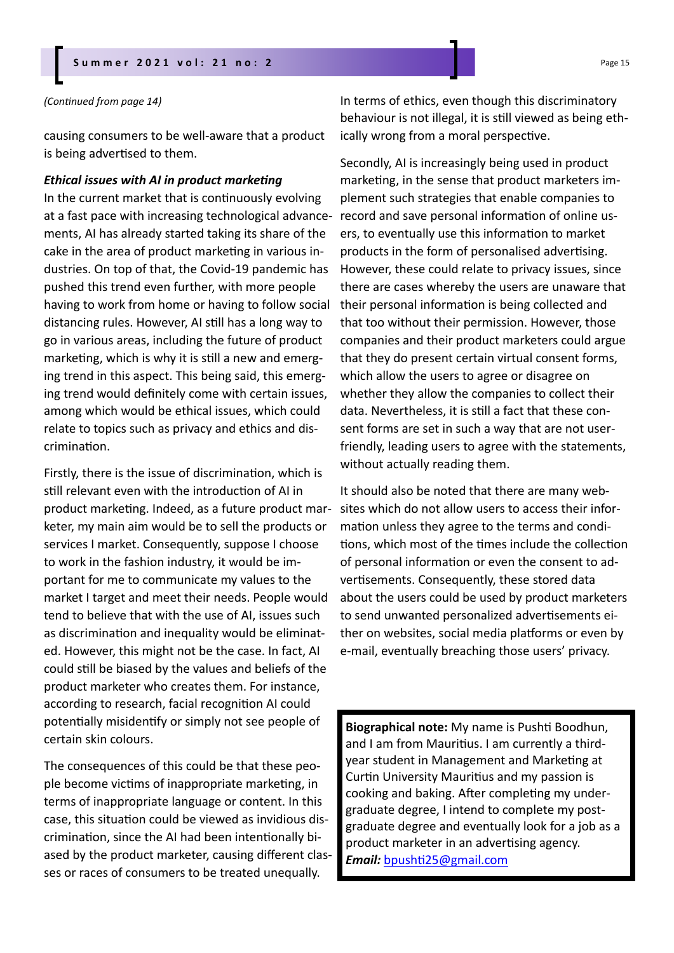### **Summer 2021 vol: 21 no: 2** Page 15

#### *(ConƟnued from page 14)*

causing consumers to be well-aware that a product is being advertised to them.

#### *Ethical issues with AI in product marketing*

In the current market that is continuously evolving at a fast pace with increasing technological advancements, AI has already started taking its share of the cake in the area of product marketing in various industries. On top of that, the Covid-19 pandemic has pushed this trend even further, with more people having to work from home or having to follow social distancing rules. However, AI still has a long way to go in various areas, including the future of product marketing, which is why it is still a new and emerging trend in this aspect. This being said, this emerging trend would definitely come with certain issues, among which would be ethical issues, which could relate to topics such as privacy and ethics and discrimination.

Firstly, there is the issue of discrimination, which is still relevant even with the introduction of AI in product marketing. Indeed, as a future product marketer, my main aim would be to sell the products or services I market. Consequently, suppose I choose to work in the fashion industry, it would be important for me to communicate my values to the market I target and meet their needs. People would tend to believe that with the use of AI, issues such as discrimination and inequality would be eliminated. However, this might not be the case. In fact, AI could still be biased by the values and beliefs of the product marketer who creates them. For instance, according to research, facial recognition AI could potentially misidentify or simply not see people of certain skin colours.

The consequences of this could be that these people become victims of inappropriate marketing, in terms of inappropriate language or content. In this case, this situation could be viewed as invidious discrimination, since the AI had been intentionally biased by the product marketer, causing different classes or races of consumers to be treated unequally.

In terms of ethics, even though this discriminatory behaviour is not illegal, it is still viewed as being ethically wrong from a moral perspective.

Secondly, AI is increasingly being used in product marketing, in the sense that product marketers implement such strategies that enable companies to record and save personal information of online users, to eventually use this information to market products in the form of personalised advertising. However, these could relate to privacy issues, since there are cases whereby the users are unaware that their personal information is being collected and that too without their permission. However, those companies and their product marketers could argue that they do present certain virtual consent forms, which allow the users to agree or disagree on whether they allow the companies to collect their data. Nevertheless, it is sƟll a fact that these consent forms are set in such a way that are not userfriendly, leading users to agree with the statements, without actually reading them.

It should also be noted that there are many websites which do not allow users to access their information unless they agree to the terms and conditions, which most of the times include the collection of personal information or even the consent to advertisements. Consequently, these stored data about the users could be used by product marketers to send unwanted personalized advertisements either on websites, social media platforms or even by e-mail, eventually breaching those users' privacy.

**Biographical note:** My name is Pushti Boodhun, and I am from Mauritius. I am currently a thirdyear student in Management and Marketing at Curtin University Mauritius and my passion is cooking and baking. After completing my undergraduate degree, I intend to complete my postgraduate degree and eventually look for a job as a product marketer in an advertising agency. *Email:* bpushƟ25@gmail.com